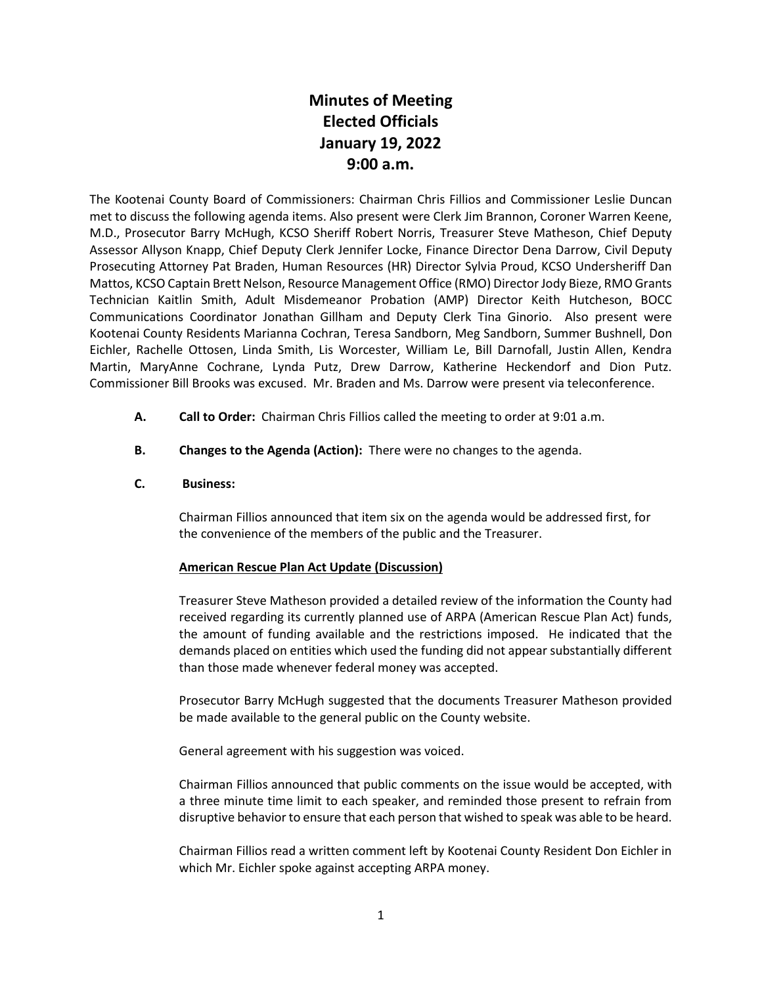# **Minutes of Meeting Elected Officials January 19, 2022 9:00 a.m.**

The Kootenai County Board of Commissioners: Chairman Chris Fillios and Commissioner Leslie Duncan met to discuss the following agenda items. Also present were Clerk Jim Brannon, Coroner Warren Keene, M.D., Prosecutor Barry McHugh, KCSO Sheriff Robert Norris, Treasurer Steve Matheson, Chief Deputy Assessor Allyson Knapp, Chief Deputy Clerk Jennifer Locke, Finance Director Dena Darrow, Civil Deputy Prosecuting Attorney Pat Braden, Human Resources (HR) Director Sylvia Proud, KCSO Undersheriff Dan Mattos, KCSO Captain Brett Nelson, Resource Management Office (RMO) Director Jody Bieze, RMO Grants Technician Kaitlin Smith, Adult Misdemeanor Probation (AMP) Director Keith Hutcheson, BOCC Communications Coordinator Jonathan Gillham and Deputy Clerk Tina Ginorio. Also present were Kootenai County Residents Marianna Cochran, Teresa Sandborn, Meg Sandborn, Summer Bushnell, Don Eichler, Rachelle Ottosen, Linda Smith, Lis Worcester, William Le, Bill Darnofall, Justin Allen, Kendra Martin, MaryAnne Cochrane, Lynda Putz, Drew Darrow, Katherine Heckendorf and Dion Putz. Commissioner Bill Brooks was excused. Mr. Braden and Ms. Darrow were present via teleconference.

- **A. Call to Order:** Chairman Chris Fillios called the meeting to order at 9:01 a.m.
- **B. Changes to the Agenda (Action):** There were no changes to the agenda.

# **C. Business:**

Chairman Fillios announced that item six on the agenda would be addressed first, for the convenience of the members of the public and the Treasurer.

# **American Rescue Plan Act Update (Discussion)**

Treasurer Steve Matheson provided a detailed review of the information the County had received regarding its currently planned use of ARPA (American Rescue Plan Act) funds, the amount of funding available and the restrictions imposed. He indicated that the demands placed on entities which used the funding did not appear substantially different than those made whenever federal money was accepted.

Prosecutor Barry McHugh suggested that the documents Treasurer Matheson provided be made available to the general public on the County website.

General agreement with his suggestion was voiced.

Chairman Fillios announced that public comments on the issue would be accepted, with a three minute time limit to each speaker, and reminded those present to refrain from disruptive behavior to ensure that each person that wished to speak was able to be heard.

Chairman Fillios read a written comment left by Kootenai County Resident Don Eichler in which Mr. Eichler spoke against accepting ARPA money.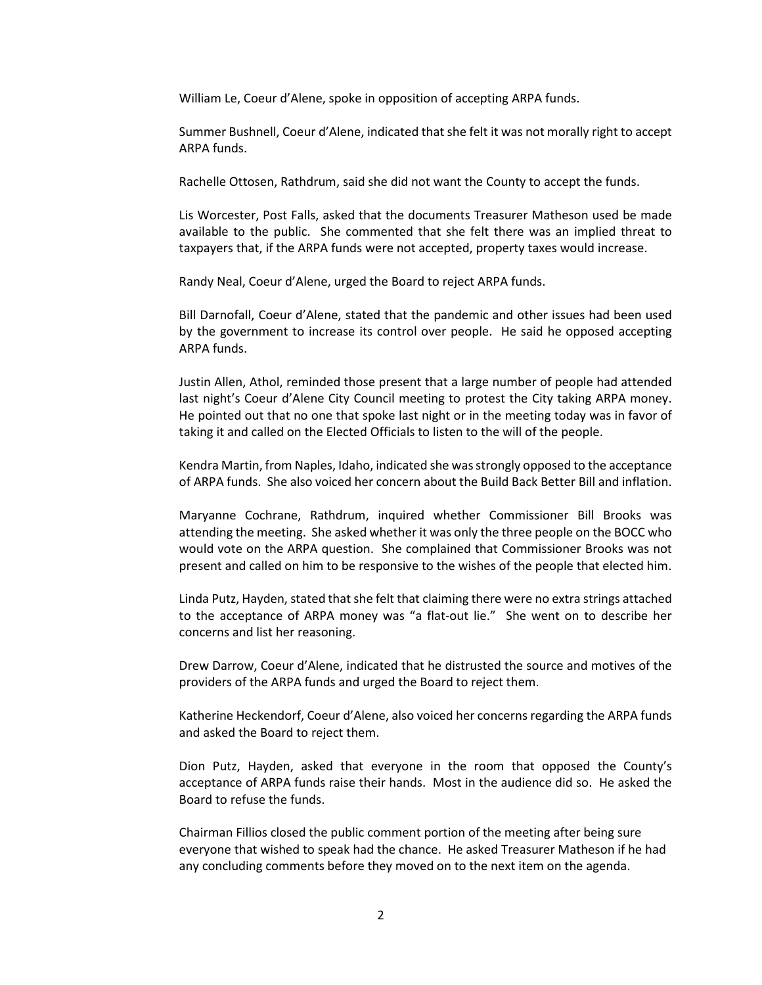William Le, Coeur d'Alene, spoke in opposition of accepting ARPA funds.

Summer Bushnell, Coeur d'Alene, indicated that she felt it was not morally right to accept ARPA funds.

Rachelle Ottosen, Rathdrum, said she did not want the County to accept the funds.

Lis Worcester, Post Falls, asked that the documents Treasurer Matheson used be made available to the public. She commented that she felt there was an implied threat to taxpayers that, if the ARPA funds were not accepted, property taxes would increase.

Randy Neal, Coeur d'Alene, urged the Board to reject ARPA funds.

Bill Darnofall, Coeur d'Alene, stated that the pandemic and other issues had been used by the government to increase its control over people. He said he opposed accepting ARPA funds.

Justin Allen, Athol, reminded those present that a large number of people had attended last night's Coeur d'Alene City Council meeting to protest the City taking ARPA money. He pointed out that no one that spoke last night or in the meeting today was in favor of taking it and called on the Elected Officials to listen to the will of the people.

Kendra Martin, from Naples, Idaho, indicated she was strongly opposed to the acceptance of ARPA funds. She also voiced her concern about the Build Back Better Bill and inflation.

Maryanne Cochrane, Rathdrum, inquired whether Commissioner Bill Brooks was attending the meeting. She asked whether it was only the three people on the BOCC who would vote on the ARPA question. She complained that Commissioner Brooks was not present and called on him to be responsive to the wishes of the people that elected him.

Linda Putz, Hayden, stated that she felt that claiming there were no extra strings attached to the acceptance of ARPA money was "a flat-out lie." She went on to describe her concerns and list her reasoning.

Drew Darrow, Coeur d'Alene, indicated that he distrusted the source and motives of the providers of the ARPA funds and urged the Board to reject them.

Katherine Heckendorf, Coeur d'Alene, also voiced her concerns regarding the ARPA funds and asked the Board to reject them.

Dion Putz, Hayden, asked that everyone in the room that opposed the County's acceptance of ARPA funds raise their hands. Most in the audience did so. He asked the Board to refuse the funds.

Chairman Fillios closed the public comment portion of the meeting after being sure everyone that wished to speak had the chance. He asked Treasurer Matheson if he had any concluding comments before they moved on to the next item on the agenda.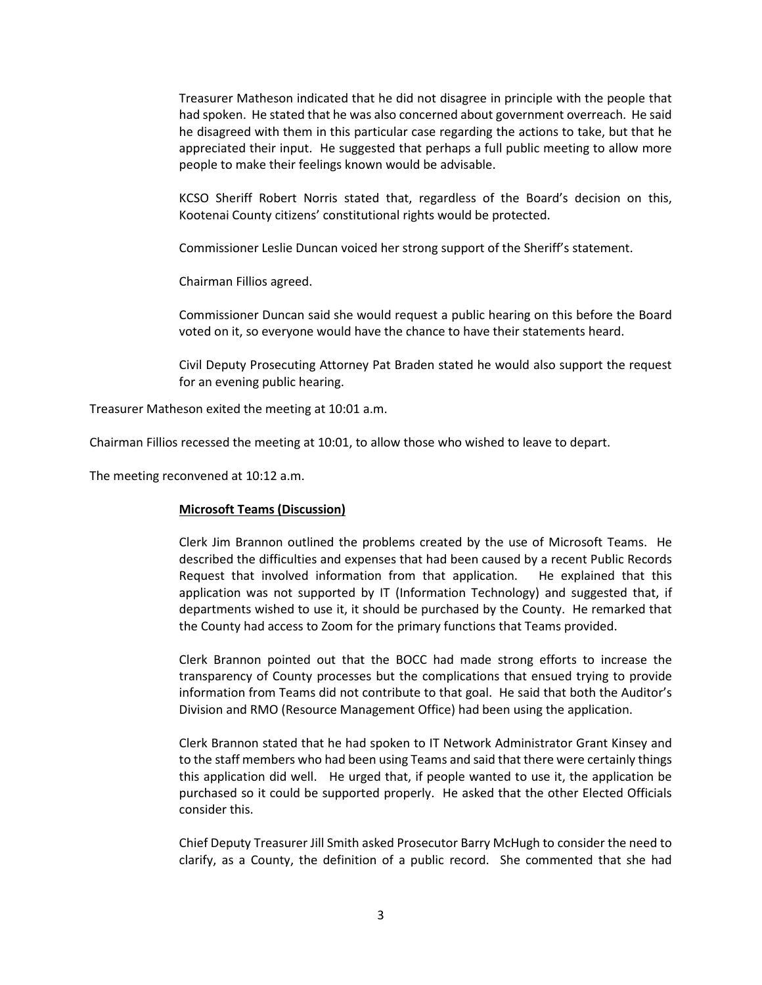Treasurer Matheson indicated that he did not disagree in principle with the people that had spoken. He stated that he was also concerned about government overreach. He said he disagreed with them in this particular case regarding the actions to take, but that he appreciated their input. He suggested that perhaps a full public meeting to allow more people to make their feelings known would be advisable.

KCSO Sheriff Robert Norris stated that, regardless of the Board's decision on this, Kootenai County citizens' constitutional rights would be protected.

Commissioner Leslie Duncan voiced her strong support of the Sheriff's statement.

Chairman Fillios agreed.

Commissioner Duncan said she would request a public hearing on this before the Board voted on it, so everyone would have the chance to have their statements heard.

Civil Deputy Prosecuting Attorney Pat Braden stated he would also support the request for an evening public hearing.

Treasurer Matheson exited the meeting at 10:01 a.m.

Chairman Fillios recessed the meeting at 10:01, to allow those who wished to leave to depart.

The meeting reconvened at 10:12 a.m.

# **Microsoft Teams (Discussion)**

Clerk Jim Brannon outlined the problems created by the use of Microsoft Teams. He described the difficulties and expenses that had been caused by a recent Public Records Request that involved information from that application. He explained that this application was not supported by IT (Information Technology) and suggested that, if departments wished to use it, it should be purchased by the County. He remarked that the County had access to Zoom for the primary functions that Teams provided.

Clerk Brannon pointed out that the BOCC had made strong efforts to increase the transparency of County processes but the complications that ensued trying to provide information from Teams did not contribute to that goal. He said that both the Auditor's Division and RMO (Resource Management Office) had been using the application.

Clerk Brannon stated that he had spoken to IT Network Administrator Grant Kinsey and to the staff members who had been using Teams and said that there were certainly things this application did well. He urged that, if people wanted to use it, the application be purchased so it could be supported properly. He asked that the other Elected Officials consider this.

Chief Deputy Treasurer Jill Smith asked Prosecutor Barry McHugh to consider the need to clarify, as a County, the definition of a public record. She commented that she had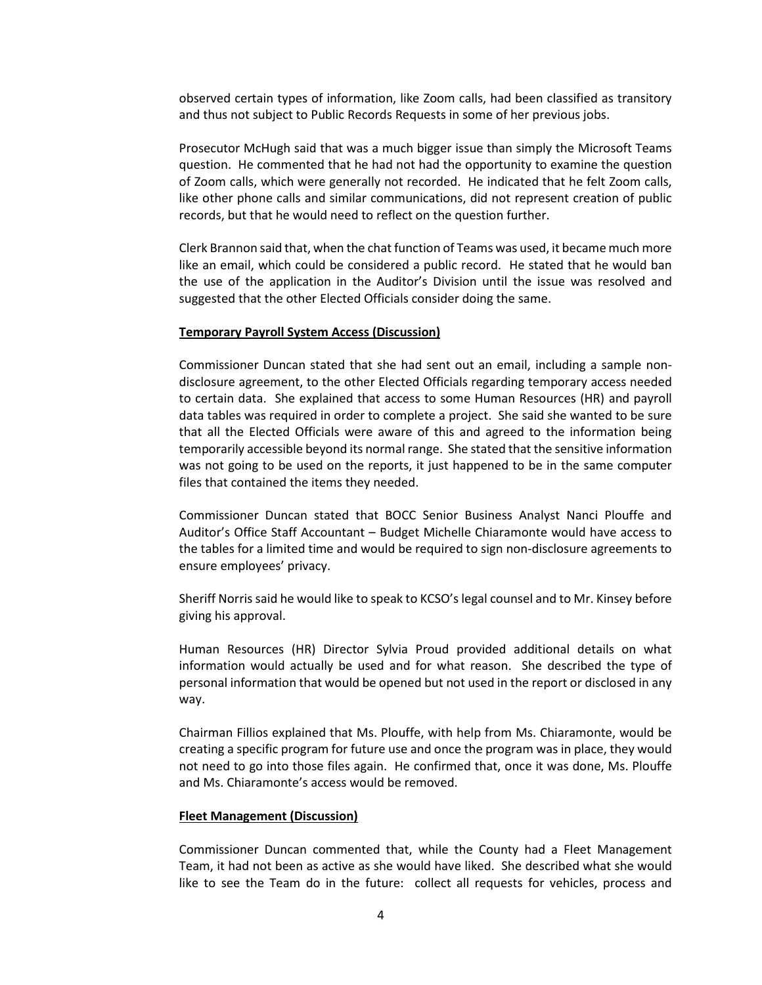observed certain types of information, like Zoom calls, had been classified as transitory and thus not subject to Public Records Requests in some of her previous jobs.

Prosecutor McHugh said that was a much bigger issue than simply the Microsoft Teams question. He commented that he had not had the opportunity to examine the question of Zoom calls, which were generally not recorded. He indicated that he felt Zoom calls, like other phone calls and similar communications, did not represent creation of public records, but that he would need to reflect on the question further.

Clerk Brannon said that, when the chat function of Teams was used, it became much more like an email, which could be considered a public record. He stated that he would ban the use of the application in the Auditor's Division until the issue was resolved and suggested that the other Elected Officials consider doing the same.

#### **Temporary Payroll System Access (Discussion)**

Commissioner Duncan stated that she had sent out an email, including a sample nondisclosure agreement, to the other Elected Officials regarding temporary access needed to certain data. She explained that access to some Human Resources (HR) and payroll data tables was required in order to complete a project. She said she wanted to be sure that all the Elected Officials were aware of this and agreed to the information being temporarily accessible beyond its normal range. She stated that the sensitive information was not going to be used on the reports, it just happened to be in the same computer files that contained the items they needed.

Commissioner Duncan stated that BOCC Senior Business Analyst Nanci Plouffe and Auditor's Office Staff Accountant – Budget Michelle Chiaramonte would have access to the tables for a limited time and would be required to sign non-disclosure agreements to ensure employees' privacy.

Sheriff Norris said he would like to speak to KCSO's legal counsel and to Mr. Kinsey before giving his approval.

Human Resources (HR) Director Sylvia Proud provided additional details on what information would actually be used and for what reason. She described the type of personal information that would be opened but not used in the report or disclosed in any way.

Chairman Fillios explained that Ms. Plouffe, with help from Ms. Chiaramonte, would be creating a specific program for future use and once the program was in place, they would not need to go into those files again. He confirmed that, once it was done, Ms. Plouffe and Ms. Chiaramonte's access would be removed.

#### **Fleet Management (Discussion)**

Commissioner Duncan commented that, while the County had a Fleet Management Team, it had not been as active as she would have liked. She described what she would like to see the Team do in the future: collect all requests for vehicles, process and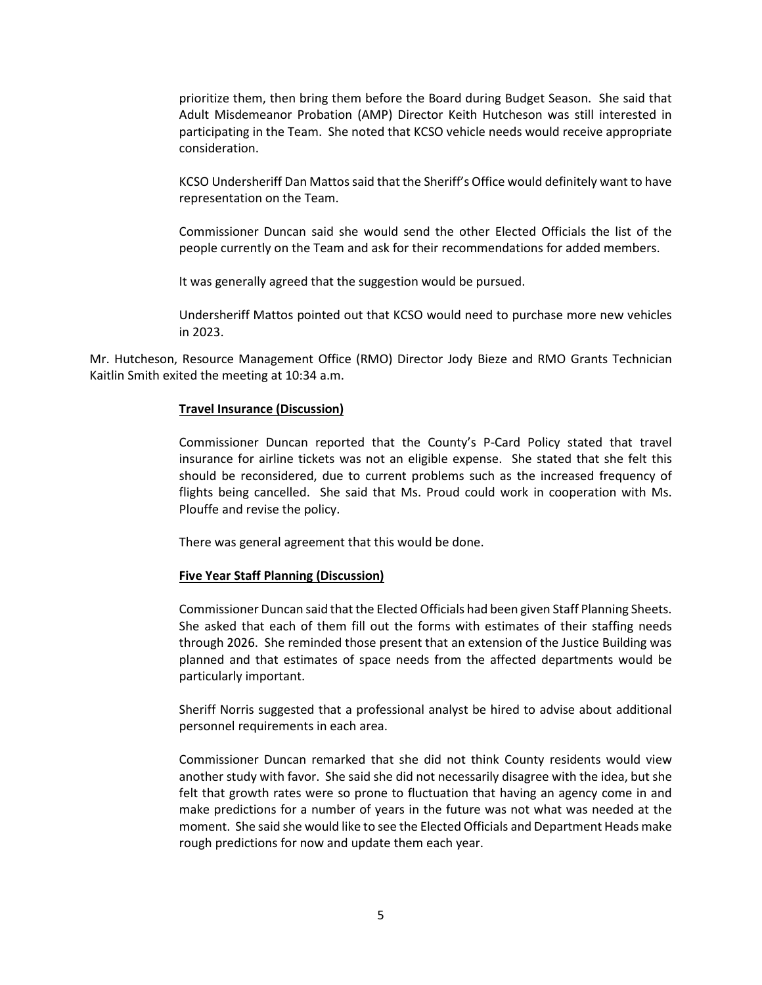prioritize them, then bring them before the Board during Budget Season. She said that Adult Misdemeanor Probation (AMP) Director Keith Hutcheson was still interested in participating in the Team. She noted that KCSO vehicle needs would receive appropriate consideration.

KCSO Undersheriff Dan Mattos said that the Sheriff's Office would definitely want to have representation on the Team.

Commissioner Duncan said she would send the other Elected Officials the list of the people currently on the Team and ask for their recommendations for added members.

It was generally agreed that the suggestion would be pursued.

Undersheriff Mattos pointed out that KCSO would need to purchase more new vehicles in 2023.

Mr. Hutcheson, Resource Management Office (RMO) Director Jody Bieze and RMO Grants Technician Kaitlin Smith exited the meeting at 10:34 a.m.

### **Travel Insurance (Discussion)**

Commissioner Duncan reported that the County's P-Card Policy stated that travel insurance for airline tickets was not an eligible expense. She stated that she felt this should be reconsidered, due to current problems such as the increased frequency of flights being cancelled. She said that Ms. Proud could work in cooperation with Ms. Plouffe and revise the policy.

There was general agreement that this would be done.

# **Five Year Staff Planning (Discussion)**

Commissioner Duncan said that the Elected Officials had been given Staff Planning Sheets. She asked that each of them fill out the forms with estimates of their staffing needs through 2026. She reminded those present that an extension of the Justice Building was planned and that estimates of space needs from the affected departments would be particularly important.

Sheriff Norris suggested that a professional analyst be hired to advise about additional personnel requirements in each area.

Commissioner Duncan remarked that she did not think County residents would view another study with favor. She said she did not necessarily disagree with the idea, but she felt that growth rates were so prone to fluctuation that having an agency come in and make predictions for a number of years in the future was not what was needed at the moment. She said she would like to see the Elected Officials and Department Heads make rough predictions for now and update them each year.